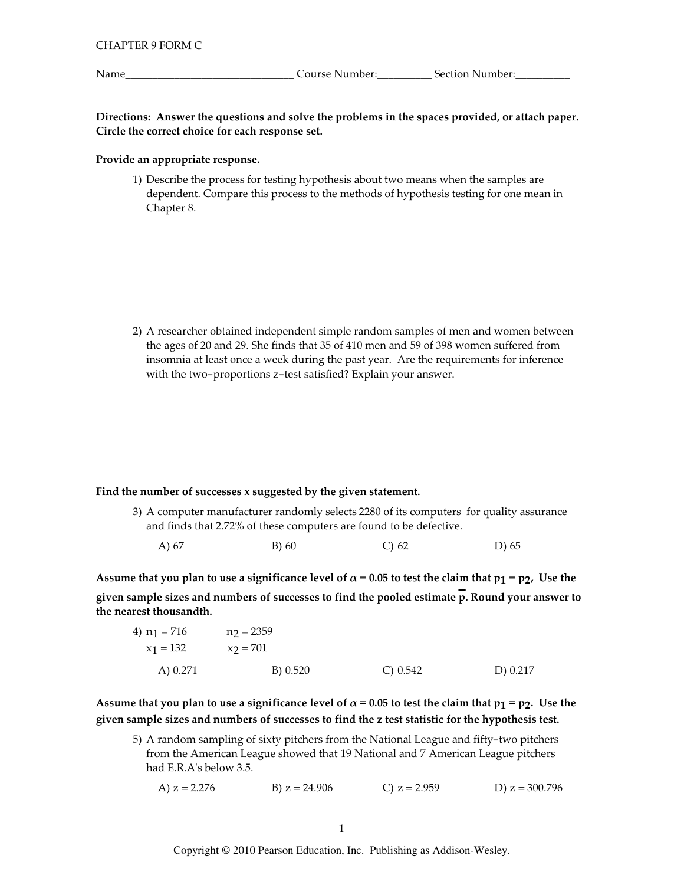Name

Directions: Answer the questions and solve the problems in the spaces provided, or attach paper. Circle the correct choice for each response set.

# Provide an appropriate response.

1) Describe the process for testing hypothesis about two means when the samples are dependent. Compare this process to the methods of hypothesis testing for one mean in Chapter 8.

2) A researcher obtained independent simple random samples of men and women between the ages of 20 and 29. She finds that 35 of 410 men and 59 of 398 women suffered from insomnia at least once a week during the past year. Are the requirements for inference with the two-proportions z-test satisfied? Explain your answer.

# Find the number of successes x suggested by the given statement.

- 3) A computer manufacturer randomly selects 2280 of its computers for quality assurance and finds that 2.72% of these computers are found to be defective.
	- A) 67 B) 60  $C)$  62 D) 65

Assume that you plan to use a significance level of  $\alpha$  = 0.05 to test the claim that  $p_1 = p_2$ , Use the given sample sizes and numbers of successes to find the pooled estimate  $\overline{p}$ . Round your answer to the nearest thousandth.

| 4) $n_1 = 716$ | $n_2 = 2359$ |          |          |
|----------------|--------------|----------|----------|
| $x_1 = 132$    | $x_2 = 701$  |          |          |
| A) 0.271       | B) 0.520     | C) 0.542 | D) 0.217 |

Assume that you plan to use a significance level of  $\alpha$  = 0.05 to test the claim that  $p_1 = p_2$ . Use the given sample sizes and numbers of successes to find the z test statistic for the hypothesis test.

5) A random sampling of sixty pitchers from the National League and fifty-two pitchers from the American League showed that 19 National and 7 American League pitchers had E.R.A's below 3.5.

```
B) z = 24.906C) z = 2.959D) z = 300.796A) z = 2.276
```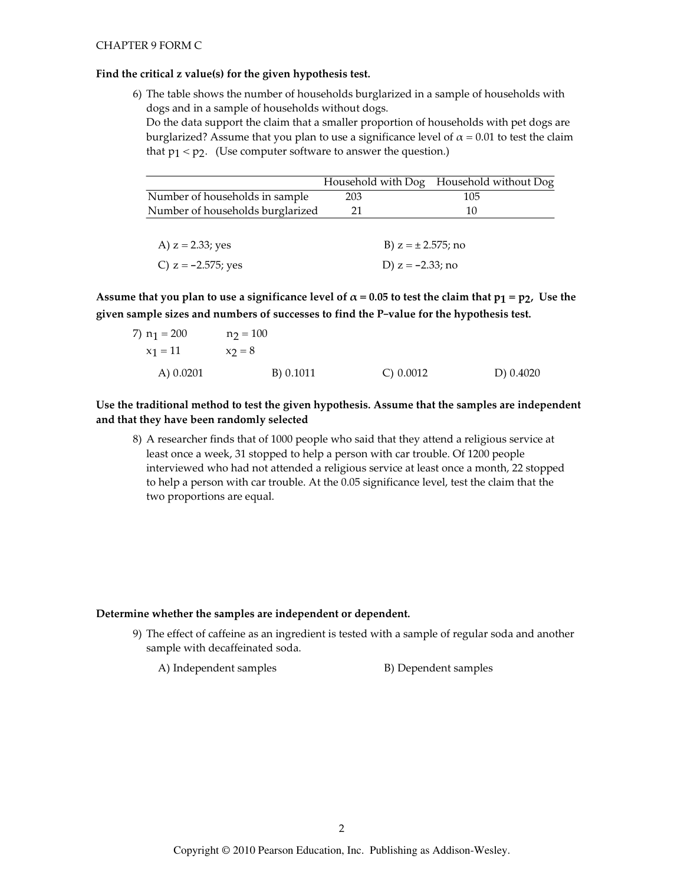#### Find the critical z value(s) for the given hypothesis test.

6) The table shows the number of households burglarized in a sample of households with dogs and in a sample of households without dogs. Do the data support the claim that a smaller proportion of households with pet dogs are burglarized? Assume that you plan to use a significance level of  $\alpha = 0.01$  to test the claim that  $p_1 < p_2$ . (Use computer software to answer the question.)

|                                  |     |                         | Household with Dog Household without Dog |
|----------------------------------|-----|-------------------------|------------------------------------------|
| Number of households in sample   | 203 |                         | 105                                      |
| Number of households burglarized | 21  |                         | 10                                       |
|                                  |     |                         |                                          |
| A) $z = 2.33$ ; yes              |     | B) $z = \pm 2.575$ ; no |                                          |
| C) $z = -2.575$ ; yes            |     | D) $z = -2.33$ ; no     |                                          |

Assume that you plan to use a significance level of  $\alpha$  = 0.05 to test the claim that  $p_1 = p_2$ , Use the given sample sizes and numbers of successes to find the P-value for the hypothesis test.

| 7) $n_1 = 200$ | $n_2 = 100$ |              |           |
|----------------|-------------|--------------|-----------|
| $x_1 = 11$     | $x_2 = 8$   |              |           |
| A) $0.0201$    | B) 0.1011   | $C$ ) 0.0012 | D) 0.4020 |

Use the traditional method to test the given hypothesis. Assume that the samples are independent and that they have been randomly selected

8) A researcher finds that of 1000 people who said that they attend a religious service at least once a week, 31 stopped to help a person with car trouble. Of 1200 people interviewed who had not attended a religious service at least once a month, 22 stopped to help a person with car trouble. At the 0.05 significance level, test the claim that the two proportions are equal.

# Determine whether the samples are independent or dependent.

9) The effect of caffeine as an ingredient is tested with a sample of regular soda and another sample with decaffeinated soda.

A) Independent samples B) Dependent samples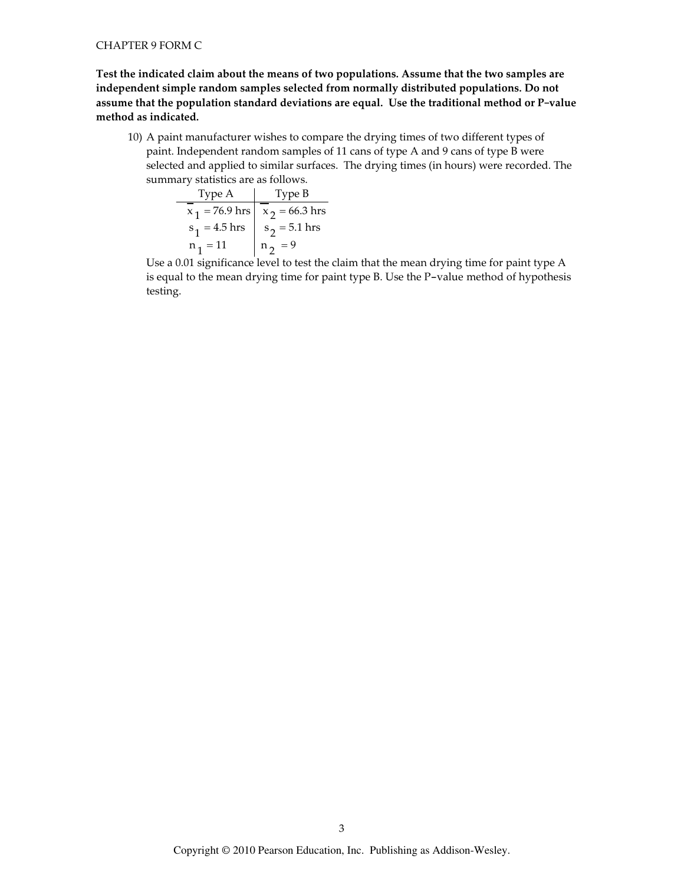Test the indicated claim about the means of two populations. Assume that the two samples are independent simple random samples selected from normally distributed populations. Do not assume that the population standard deviations are equal. Use the traditional method or P-value method as indicated.

10) A paint manufacturer wishes to compare the drying times of two different types of paint. Independent random samples of 11 cans of type A and 9 cans of type B were selected and applied to similar surfaces. The drying times (in hours) were recorded. The summary statistics are as follows.

| Type A          | Type B                            |
|-----------------|-----------------------------------|
|                 | $x_1 = 76.9$ hrs $x_2 = 66.3$ hrs |
| $s_1 = 4.5$ hrs | $s_2 = 5.1$ hrs                   |
| $n_1 = 11$      | $n2 = 9$                          |

Use a 0.01 significance level to test the claim that the mean drying time for paint type A is equal to the mean drying time for paint type B. Use the P-value method of hypothesis testing.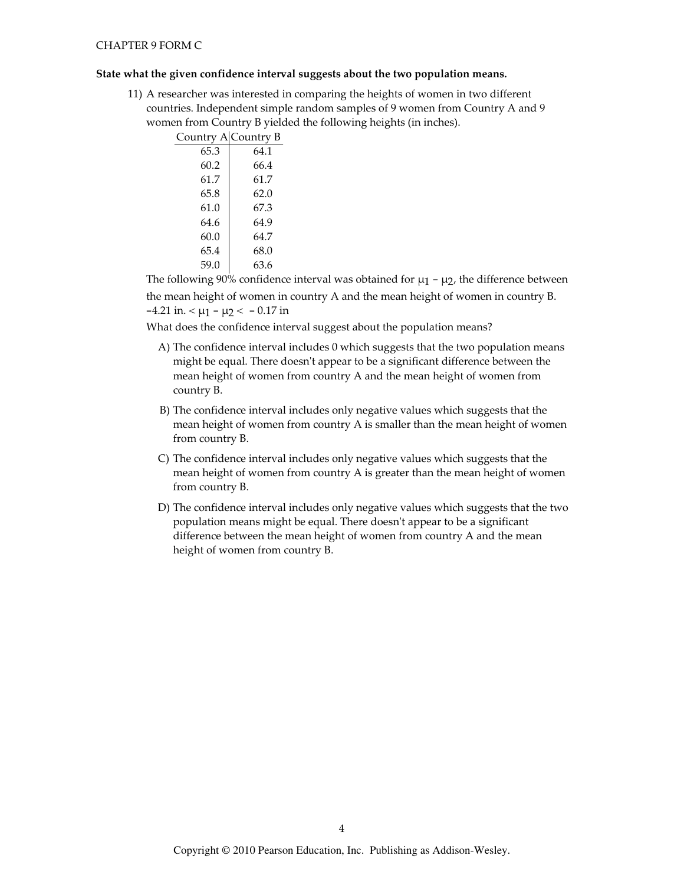#### State what the given confidence interval suggests about the two population means.

11) A researcher was interested in comparing the heights of women in two different countries. Independent simple random samples of 9 women from Country A and 9 women from Country B yielded the following heights (in inches).

| Country A Country B |      |
|---------------------|------|
| 65.3                | 64.1 |
| 60.2                | 66.4 |
| 61.7                | 61.7 |
| 65.8                | 62.0 |
| 61.0                | 67.3 |
| 64.6                | 64.9 |
| 60.0                | 64.7 |
| 65.4                | 68.0 |
| 59.0                | 63.6 |
|                     |      |

The following 90% confidence interval was obtained for  $\mu_1$  -  $\mu_2$ , the difference between the mean height of women in country A and the mean height of women in country B.  $-4.21$  in.  $< \mu_1 - \mu_2 < -0.17$  in

What does the confidence interval suggest about the population means?

- A) The confidence interval includes 0 which suggests that the two population means might be equal. There doesn't appear to be a significant difference between the mean height of women from country A and the mean height of women from country B.
- B) The confidence interval includes only negative values which suggests that the mean height of women from country A is smaller than the mean height of women from country B.
- C) The confidence interval includes only negative values which suggests that the mean height of women from country A is greater than the mean height of women from country B.
- D) The confidence interval includes only negative values which suggests that the two population means might be equal. There doesn't appear to be a significant difference between the mean height of women from country A and the mean height of women from country B.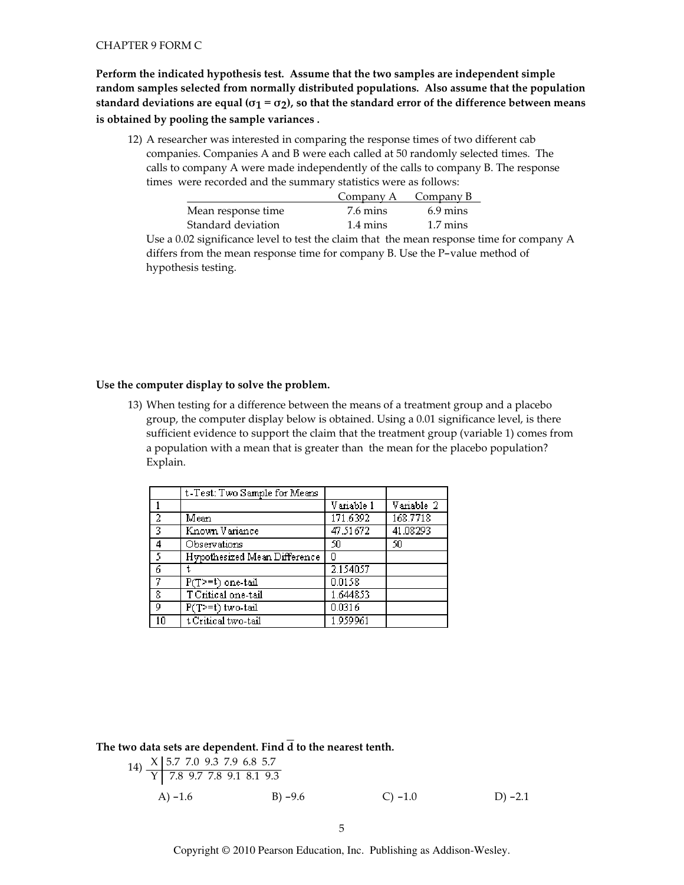Perform the indicated hypothesis test. Assume that the two samples are independent simple random samples selected from normally distributed populations. Also assume that the population standard deviations are equal ( $\sigma_1 = \sigma_2$ ), so that the standard error of the difference between means is obtained by pooling the sample variances.

12) A researcher was interested in comparing the response times of two different cab companies. Companies A and B were each called at 50 randomly selected times. The calls to company A were made independently of the calls to company B. The response times were recorded and the summary statistics were as follows:

|                                    |                    | Company A $\sim$ Company B |
|------------------------------------|--------------------|----------------------------|
| Mean response time                 | 7.6 mins           | $6.9 \text{ mins}$         |
| Standard deviation                 | $1.4 \text{ mins}$ | $1.7 \text{ mins}$         |
| $\sim$ $\sim$ $\sim$ $\sim$ $\sim$ |                    |                            |

Use a 0.02 significance level to test the claim that the mean response time for company A differs from the mean response time for company B. Use the P-value method of hypothesis testing.

### Use the computer display to solve the problem.

13) When testing for a difference between the means of a treatment group and a placebo group, the computer display below is obtained. Using a 0.01 significance level, is there sufficient evidence to support the claim that the treatment group (variable 1) comes from a population with a mean that is greater than the mean for the placebo population? Explain.

|                | t-Test: Two Sample for Means |            |            |
|----------------|------------------------------|------------|------------|
|                |                              | Variable 1 | Variable 2 |
| $\overline{2}$ | Mean                         | 171.6392   | 168.7718   |
| $\overline{3}$ | Known Variance               | 47.51672   | 41.08293   |
| 4              | Observations                 | 50         | 50         |
| 73             | Hypothesized Mean Difference | 0          |            |
| 6              |                              | 2.154057   |            |
| -7             | $P(T>=t)$ one-tail           | 0.0158     |            |
| 8              | T Critical one-tail          | 1.644853   |            |
| 9              | P(T>=t) two-tail             | 0.0316     |            |
| 10             | t Critical two-tail          | 1.959961   |            |

The two data sets are dependent. Find  $\overline{d}$  to the nearest tenth.

14) 
$$
\frac{X | 5.7, 7.0, 9.3, 7.9, 6.8, 5.7}{Y | 7.8, 9.7, 7.8, 9.1, 8.1, 9.3}
$$
  
\nA) -1.6  
\nB) -9.6  
\nB) -9.6  
\nC) -1.0  
\nD) -2.1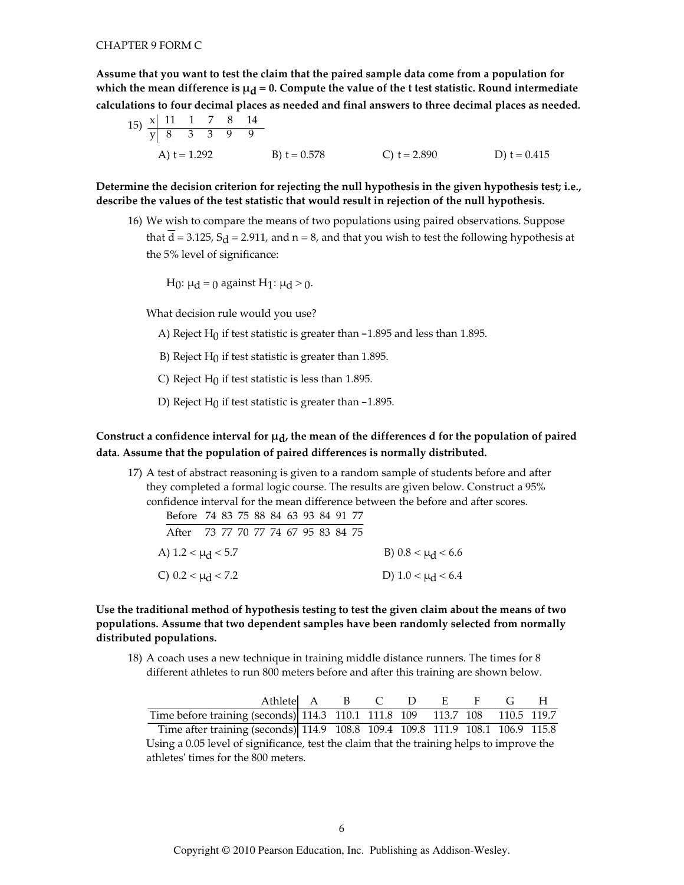Assume that you want to test the claim that the paired sample data come from a population for which the mean difference is  $\mu_d = 0$ . Compute the value of the t test statistic. Round intermediate calculations to four decimal places as needed and final answers to three decimal places as needed.

15) 
$$
\frac{x}{y} \begin{bmatrix} 11 & 1 & 7 & 8 & 14 \\ 8 & 3 & 3 & 9 & 9 \end{bmatrix}
$$
  
A) t = 1.292  
B) t = 0.578  
C) t = 2.890  
D) t = 0.415

Determine the decision criterion for rejecting the null hypothesis in the given hypothesis test; i.e., describe the values of the test statistic that would result in rejection of the null hypothesis.

16) We wish to compare the means of two populations using paired observations. Suppose that  $\overline{d}$  = 3.125, S<sub> $d$ </sub> = 2.911, and n = 8, and that you wish to test the following hypothesis at the 5% level of significance:

H<sub>0</sub>: μ<sub>d</sub> = 0 against H<sub>1</sub>: μ<sub>d</sub> > 0.

What decision rule would you use?

- A) Reject  $H_0$  if test statistic is greater than  $-1.895$  and less than 1.895.
- B) Reject  $H_0$  if test statistic is greater than 1.895.
- C) Reject  $H_0$  if test statistic is less than 1.895.
- D) Reject  $H_0$  if test statistic is greater than  $-1.895$ .

# Construct a confidence interval for  $\mu_d$ , the mean of the differences d for the population of paired data. Assume that the population of paired differences is normally distributed.

17) A test of abstract reasoning is given to a random sample of students before and after they completed a formal logic course. The results are given below. Construct a 95% confidence interval for the mean difference between the before and after scores.

| Before 74 83 75 88 84 63 93 84 91 77 |  |  |  |  |  |                        |
|--------------------------------------|--|--|--|--|--|------------------------|
| After 73 77 70 77 74 67 95 83 84 75  |  |  |  |  |  |                        |
| A) $1.2 < \mu_d < 5.7$               |  |  |  |  |  | B) $0.8 < \mu$ d < 6.6 |
| C) 0.2 < $\mu$ <sup>2</sup> < 7.2    |  |  |  |  |  | D) $1.0 < \mu_d < 6.4$ |

# Use the traditional method of hypothesis testing to test the given claim about the means of two populations. Assume that two dependent samples have been randomly selected from normally distributed populations.

18) A coach uses a new technique in training middle distance runners. The times for 8 different athletes to run 800 meters before and after this training are shown below.

| Athletel A B C D E F                                                          |  |  |  | $\sqrt{4}$ | $\mathbf{H}$ |
|-------------------------------------------------------------------------------|--|--|--|------------|--------------|
| Time before training (seconds) 114.3 110.1 111.8 109 113.7 108 110.5 119.7    |  |  |  |            |              |
| Time after training (seconds) 114.9 108.8 109.4 109.8 111.9 108.1 106.9 115.8 |  |  |  |            |              |

Using a 0.05 level of significance, test the claim that the training helps to improve the athletes' times for the 800 meters.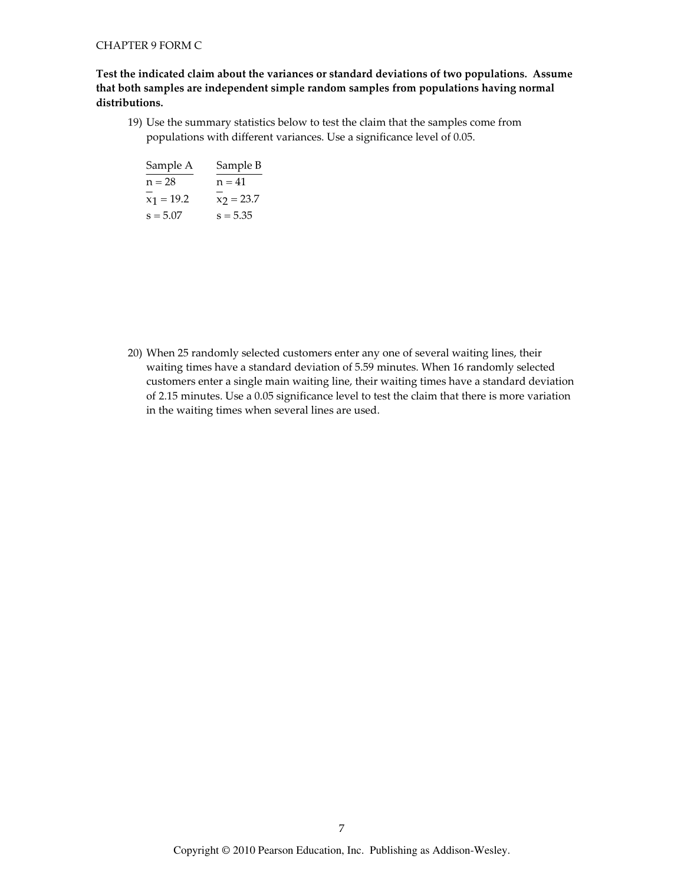# Test the indicated claim about the variances or standard deviations of two populations. Assume that both samples are independent simple random samples from populations having normal distributions.

19) Use the summary statistics below to test the claim that the samples come from populations with different variances. Use a significance level of 0.05.

| Sample A     | Sample B     |
|--------------|--------------|
| $n = 28$     | $n = 41$     |
| $x_1 = 19.2$ | $x_2 = 23.7$ |
| $s = 5.07$   | $s = 5.35$   |

20) When 25 randomly selected customers enter any one of several waiting lines, their waiting times have a standard deviation of 5.59 minutes. When 16 randomly selected customers enter a single main waiting line, their waiting times have a standard deviation of 2.15 minutes. Use a 0.05 significance level to test the claim that there is more variation in the waiting times when several lines are used.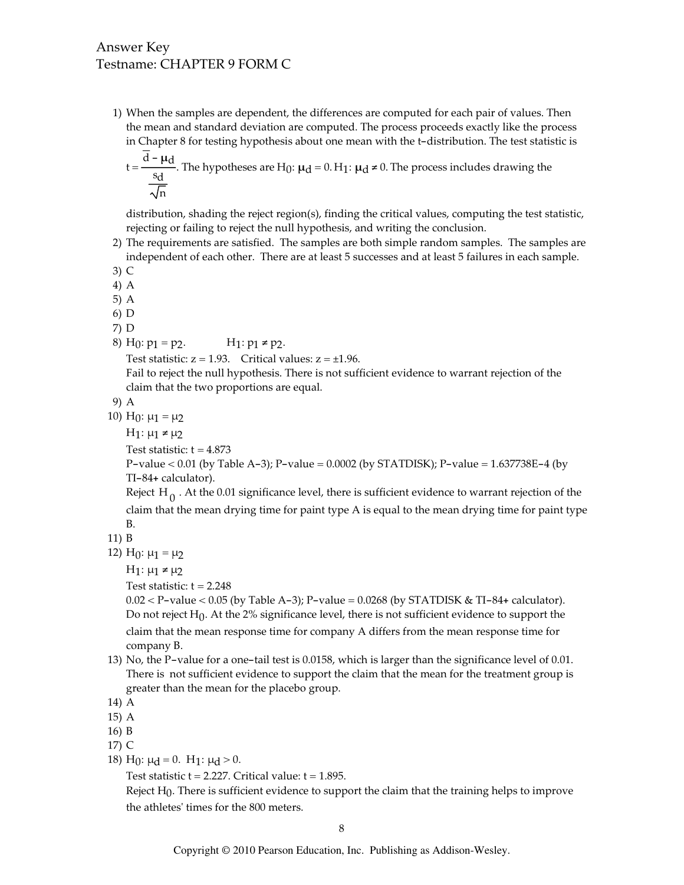# Answer Key Testname: CHAPTER 9 FORM C

1) When the samples are dependent, the differences are computed for each pair of values. Then the mean and standard deviation are computed. The process proceeds exactly like the process in Chapter 8 for testing hypothesis about one mean with the t-distribution. The test statistic is

$$
t = \frac{d - \mu d}{\frac{s_d}{\sqrt{n}}}
$$
. The hypotheses are H<sub>0</sub>:  $\mu_d = 0$ . H<sub>1</sub>:  $\mu_d \neq 0$ . The process includes drawing the

distribution, shading the reject region(s), finding the critical values, computing the test statistic, rejecting or failing to reject the null hypothesis, and writing the conclusion.

- 2) The requirements are satisfied. The samples are both simple random samples. The samples are independent of each other. There are at least 5 successes and at least 5 failures in each sample.
- $3)$  C
- 4) A
- $5)$  A
- $6)$  D
- $7) D$
- 8) H<sub>0</sub>:  $p_1 = p_2$ . H<sub>1</sub>:  $p_1$  ≠  $p_2$ .

Test statistic:  $z = 1.93$ . Critical values:  $z = \pm 1.96$ .

Fail to reject the null hypothesis. There is not sufficient evidence to warrant rejection of the claim that the two proportions are equal.

9) A

10)  $H_0: \mu_1 = \mu_2$ 

 $H_1: \mu_1 \neq \mu_2$ 

```
Test statistic: t = 4.873
```
P-value < 0.01 (by Table A-3); P-value = 0.0002 (by STATDISK); P-value =  $1.637738E-4$  (by TI-84+ calculator).

Reject H<sub>0</sub>. At the 0.01 significance level, there is sufficient evidence to warrant rejection of the claim that the mean drying time for paint type A is equal to the mean drying time for paint type B.

- 11) B
- 12) H<sub>0</sub>:  $\mu_1 = \mu_2$

 $H_1: \mu_1 \neq \mu_2$ 

Test statistic:  $t = 2.248$ 

 $0.02 < P$ -value < 0.05 (by Table A-3); P-value = 0.0268 (by STATDISK & TI-84+ calculator). Do not reject  $H_0$ . At the 2% significance level, there is not sufficient evidence to support the claim that the mean response time for company A differs from the mean response time for company B.

13) No, the P-value for a one-tail test is 0.0158, which is larger than the significance level of 0.01. There is not sufficient evidence to support the claim that the mean for the treatment group is greater than the mean for the placebo group.

```
14) A
```
- $15)$  A
- 16) B
- 17) C
- 18) H<sub>0</sub>:  $\mu$ <sub>d</sub> = 0. H<sub>1</sub>:  $\mu$ <sub>d</sub> > 0.

Test statistic  $t = 2.227$ . Critical value:  $t = 1.895$ .

Reject  $H_0$ . There is sufficient evidence to support the claim that the training helps to improve the athletes' times for the 800 meters.